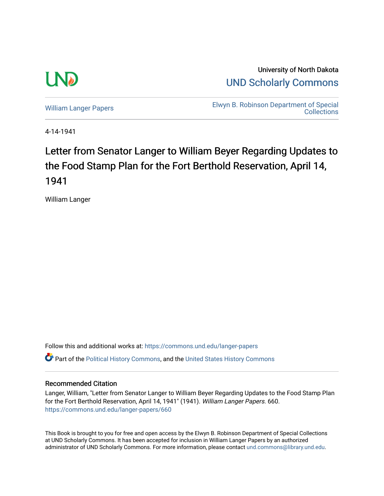

University of North Dakota [UND Scholarly Commons](https://commons.und.edu/) 

[William Langer Papers](https://commons.und.edu/langer-papers) **Elwyn B. Robinson Department of Special** [Collections](https://commons.und.edu/archives) 

4-14-1941

## Letter from Senator Langer to William Beyer Regarding Updates to the Food Stamp Plan for the Fort Berthold Reservation, April 14, 1941

William Langer

Follow this and additional works at: [https://commons.und.edu/langer-papers](https://commons.und.edu/langer-papers?utm_source=commons.und.edu%2Flanger-papers%2F660&utm_medium=PDF&utm_campaign=PDFCoverPages)  **C** Part of the [Political History Commons,](https://network.bepress.com/hgg/discipline/505?utm_source=commons.und.edu%2Flanger-papers%2F660&utm_medium=PDF&utm_campaign=PDFCoverPages) and the [United States History Commons](https://network.bepress.com/hgg/discipline/495?utm_source=commons.und.edu%2Flanger-papers%2F660&utm_medium=PDF&utm_campaign=PDFCoverPages)

## Recommended Citation

Langer, William, "Letter from Senator Langer to William Beyer Regarding Updates to the Food Stamp Plan for the Fort Berthold Reservation, April 14, 1941" (1941). William Langer Papers. 660. [https://commons.und.edu/langer-papers/660](https://commons.und.edu/langer-papers/660?utm_source=commons.und.edu%2Flanger-papers%2F660&utm_medium=PDF&utm_campaign=PDFCoverPages) 

This Book is brought to you for free and open access by the Elwyn B. Robinson Department of Special Collections at UND Scholarly Commons. It has been accepted for inclusion in William Langer Papers by an authorized administrator of UND Scholarly Commons. For more information, please contact [und.commons@library.und.edu.](mailto:und.commons@library.und.edu)